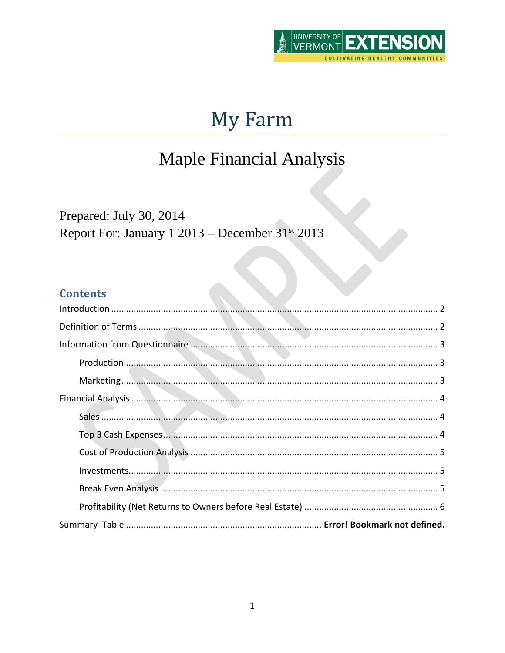

# My Farm

## Maple Financial Analysis

Prepared: July 30, 2014 Report For: January 1 2013 – December 31<sup>st</sup> 2013

## **Contents**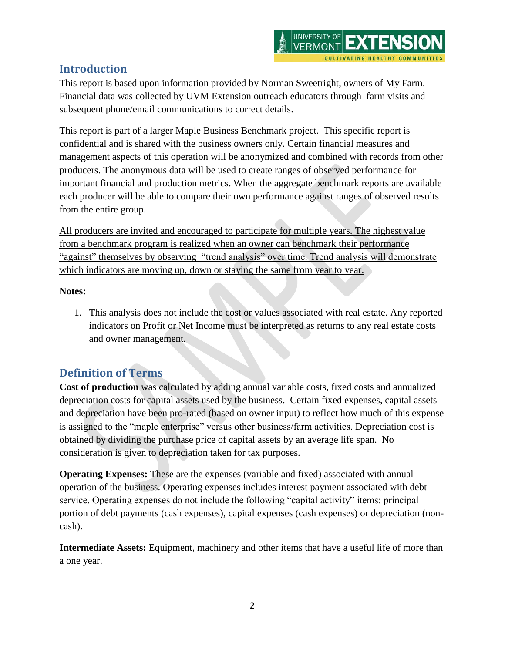## <span id="page-1-0"></span>**Introduction**

This report is based upon information provided by Norman Sweetright, owners of My Farm. Financial data was collected by UVM Extension outreach educators through farm visits and subsequent phone/email communications to correct details.

This report is part of a larger Maple Business Benchmark project. This specific report is confidential and is shared with the business owners only. Certain financial measures and management aspects of this operation will be anonymized and combined with records from other producers. The anonymous data will be used to create ranges of observed performance for important financial and production metrics. When the aggregate benchmark reports are available each producer will be able to compare their own performance against ranges of observed results from the entire group.

All producers are invited and encouraged to participate for multiple years. The highest value from a benchmark program is realized when an owner can benchmark their performance "against" themselves by observing "trend analysis" over time. Trend analysis will demonstrate which indicators are moving up, down or staying the same from year to year.

#### **Notes:**

1. This analysis does not include the cost or values associated with real estate. Any reported indicators on Profit or Net Income must be interpreted as returns to any real estate costs and owner management.

## <span id="page-1-1"></span>**Definition of Terms**

**Cost of production** was calculated by adding annual variable costs, fixed costs and annualized depreciation costs for capital assets used by the business. Certain fixed expenses, capital assets and depreciation have been pro-rated (based on owner input) to reflect how much of this expense is assigned to the "maple enterprise" versus other business/farm activities. Depreciation cost is obtained by dividing the purchase price of capital assets by an average life span. No consideration is given to depreciation taken for tax purposes.

**Operating Expenses:** These are the expenses (variable and fixed) associated with annual operation of the business. Operating expenses includes interest payment associated with debt service. Operating expenses do not include the following "capital activity" items: principal portion of debt payments (cash expenses), capital expenses (cash expenses) or depreciation (noncash).

**Intermediate Assets:** Equipment, machinery and other items that have a useful life of more than a one year.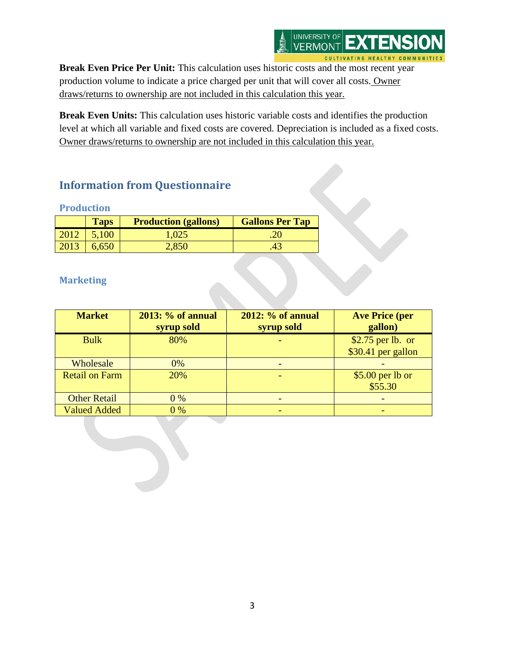

Break Even Price Per Unit: This calculation uses historic costs and the most recent year production volume to indicate a price charged per unit that will cover all costs. Owner draws/returns to ownership are not included in this calculation this year.

**Break Even Units:** This calculation uses historic variable costs and identifies the production level at which all variable and fixed costs are covered. Depreciation is included as a fixed costs. Owner draws/returns to ownership are not included in this calculation this year.

## <span id="page-2-0"></span>**Information from Questionnaire**

#### <span id="page-2-1"></span>**Production**

|      | <b>Taps</b>       | <b>Production (gallons)</b> | <b>Gallons Per Tap</b> |
|------|-------------------|-----------------------------|------------------------|
| 2012 | 5,100             | 1,025                       |                        |
|      | $2013 \mid 6,650$ | 2,850                       | .43                    |

#### <span id="page-2-2"></span>**Marketing**

| <b>Market</b>         | 2013: % of annual<br>syrup sold | <b>2012: % of annual</b><br>syrup sold | <b>Ave Price (per</b><br>gallon)        |
|-----------------------|---------------------------------|----------------------------------------|-----------------------------------------|
| <b>Bulk</b>           | 80%                             |                                        | \$2.75 per lb. or<br>\$30.41 per gallon |
|                       |                                 |                                        |                                         |
| Wholesale             | $0\%$                           |                                        |                                         |
| <b>Retail on Farm</b> | 20%                             |                                        | $$5.00$ per lb or                       |
|                       |                                 |                                        | \$55.30                                 |
| <b>Other Retail</b>   | $0\%$                           |                                        |                                         |
| <b>Valued Added</b>   | 0%                              |                                        |                                         |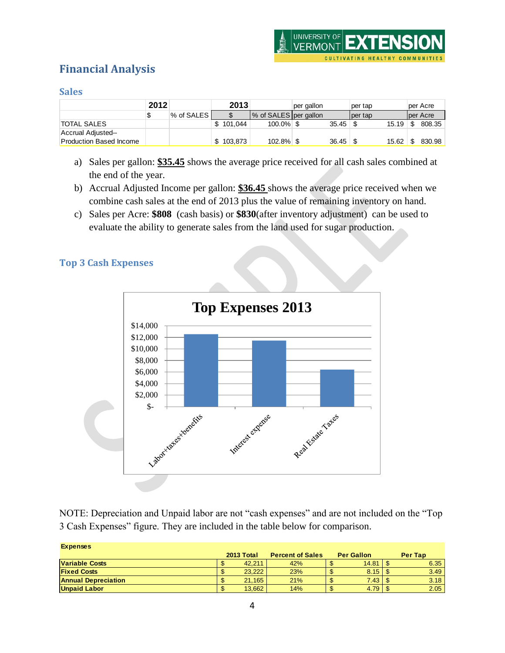## <span id="page-3-0"></span>**Financial Analysis**

#### <span id="page-3-1"></span>**Sales**

|                         | 2012 |               |           | 2013 |                         | per gallon |       | per tap  |       | per Acre |
|-------------------------|------|---------------|-----------|------|-------------------------|------------|-------|----------|-------|----------|
|                         |      | ∣% of SALES I |           |      | % of SALES   per gallon |            |       | lper tap |       | per Acre |
| <b>TOTAL SALES</b>      |      |               | 101.044   |      | $100.0\%$ \$            |            | 35.45 |          |       | 808.35   |
| Accrual Adjusted--      |      |               |           |      |                         |            |       |          |       |          |
| Production Based Income |      |               | \$103,873 |      | $102.8\%$ \$            |            | 36.45 |          | 15.62 | 830.98   |

- a) Sales per gallon: **\$35.45** shows the average price received for all cash sales combined at the end of the year.
- b) Accrual Adjusted Income per gallon: **\$36.45** shows the average price received when we combine cash sales at the end of 2013 plus the value of remaining inventory on hand.
- c) Sales per Acre: **\$808** (cash basis) or **\$830**(after inventory adjustment) can be used to evaluate the ability to generate sales from the land used for sugar production.

#### <span id="page-3-2"></span>**Top 3 Cash Expenses**



NOTE: Depreciation and Unpaid labor are not "cash expenses" and are not included on the "Top 3 Cash Expenses" figure. They are included in the table below for comparison.

| <b>Expenses</b>            |            |                         |                   |         |
|----------------------------|------------|-------------------------|-------------------|---------|
|                            | 2013 Total | <b>Percent of Sales</b> | <b>Per Gallon</b> | Per Tap |
| <b>Variable Costs</b>      | 42.211     | 42%                     | 14.81             | 6.35    |
| <b>Fixed Costs</b>         | 23.222     | 23%                     | 8.15              | 3.49    |
| <b>Annual Depreciation</b> | 21.165     | 21%                     | 7.43              | 3.18    |
| <b>Unpaid Labor</b>        | 13,662     | 14%                     | 4.79              | 2.05    |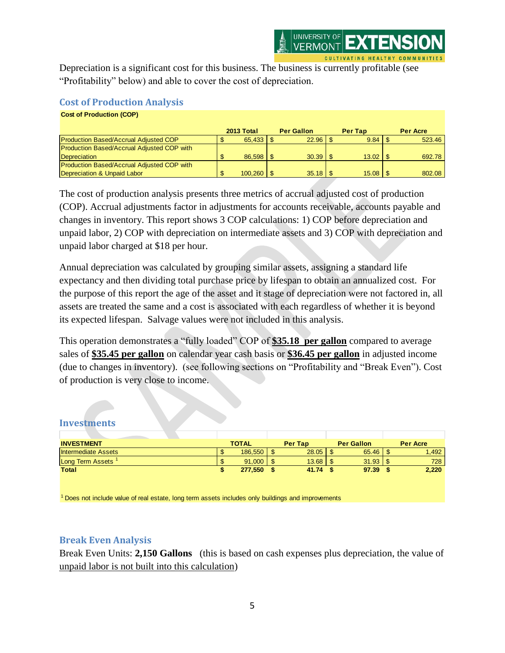Depreciation is a significant cost for this business. The business is currently profitable (see "Profitability" below) and able to cover the cost of depreciation.

#### <span id="page-4-0"></span>**Cost of Production Analysis**

| <b>Cost of Production (COP)</b>                   |               |                   |                |                 |
|---------------------------------------------------|---------------|-------------------|----------------|-----------------|
|                                                   | 2013 Total    | <b>Per Gallon</b> | <b>Per Tap</b> | <b>Per Acre</b> |
| <b>Production Based/Accrual Adjusted COP</b>      |               |                   | 9.84           | 523.46          |
| <b>Production Based/Accrual Adjusted COP with</b> |               |                   |                |                 |
| <b>Depreciation</b>                               | $86,598$ \ \$ |                   | 13.02          | 692.78          |
| <b>Production Based/Accrual Adjusted COP with</b> |               |                   |                |                 |
| Depreciation & Unpaid Labor                       | $100,260$ \$  |                   | $15.08$   \$   | 802.08          |

The cost of production analysis presents three metrics of accrual adjusted cost of production (COP). Accrual adjustments factor in adjustments for accounts receivable, accounts payable and changes in inventory. This report shows 3 COP calculations: 1) COP before depreciation and unpaid labor, 2) COP with depreciation on intermediate assets and 3) COP with depreciation and unpaid labor charged at \$18 per hour.

Annual depreciation was calculated by grouping similar assets, assigning a standard life expectancy and then dividing total purchase price by lifespan to obtain an annualized cost. For the purpose of this report the age of the asset and it stage of depreciation were not factored in, all assets are treated the same and a cost is associated with each regardless of whether it is beyond its expected lifespan. Salvage values were not included in this analysis.

This operation demonstrates a "fully loaded" COP of **\$35.18 per gallon** compared to average sales of **\$35.45 per gallon** on calendar year cash basis or **\$36.45 per gallon** in adjusted income (due to changes in inventory). (see following sections on "Profitability and "Break Even"). Cost of production is very close to income.

#### <span id="page-4-1"></span>**Investments**

| <b>INVESTMENT</b>       | <b>TOTAL</b> | Per Tap | <b>Per Gallon</b>     | <b>Per Acre</b> |
|-------------------------|--------------|---------|-----------------------|-----------------|
| Intermediate Assets     | 186,550      | 28.05   | 65.46                 | 1.492           |
| <b>Long Term Assets</b> | 91,000       | 13.68   | $31.93$ $\frac{8}{3}$ | 728             |
| <b>Total</b>            | 277,550      | 41.74   | 97.39                 | 2,220           |

 $<sup>1</sup>$  Does not include value of real estate, long term assets includes only buildings and improvements</sup>

#### <span id="page-4-2"></span>**Break Even Analysis**

Break Even Units: **2,150 Gallons** (this is based on cash expenses plus depreciation, the value of unpaid labor is not built into this calculation)